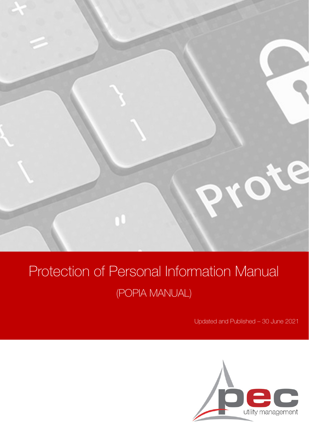

# Protection of Personal Information Manual (POPIA MANUAL)

Updated and Published – 30 June 2021

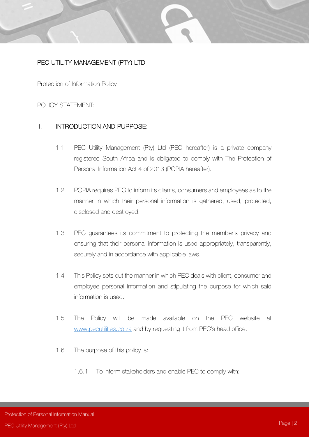# PEC UTILITY MANAGEMENT (PTY) LTD

Protection of Information Policy

### POLICY STATEMENT:

### 1. **INTRODUCTION AND PURPOSE:**

- 1.1 PEC Utility Management (Pty) Ltd (PEC hereafter) is a private company registered South Africa and is obligated to comply with The Protection of Personal Information Act 4 of 2013 (POPIA hereafter).
- 1.2 POPIA requires PEC to inform its clients, consumers and employees as to the manner in which their personal information is gathered, used, protected, disclosed and destroyed.
- 1.3 PEC guarantees its commitment to protecting the member's privacy and ensuring that their personal information is used appropriately, transparently, securely and in accordance with applicable laws.
- 1.4 This Policy sets out the manner in which PEC deals with client, consumer and employee personal information and stipulating the purpose for which said information is used.
- 1.5 The Policy will be made available on the PEC website at www.pecutilities.co.za and by requesting it from PEC's head office.
- 1.6 The purpose of this policy is:
	- 1.6.1 To inform stakeholders and enable PEC to comply with;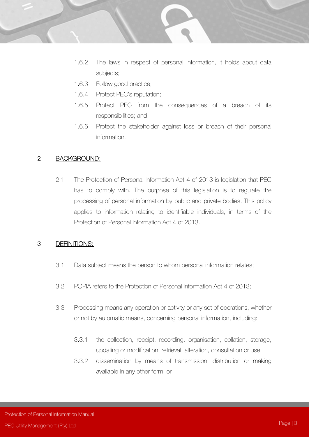- - 1.6.2 The laws in respect of personal information, it holds about data subjects;
	- 1.6.3 Follow good practice;
	- 1.6.4 Protect PEC's reputation;
	- 1.6.5 Protect PEC from the consequences of a breach of its responsibilities; and
	- 1.6.6 Protect the stakeholder against loss or breach of their personal information.

#### 2 BACKGROUND:

2.1 The Protection of Personal Information Act 4 of 2013 is legislation that PEC has to comply with. The purpose of this legislation is to regulate the processing of personal information by public and private bodies. This policy applies to information relating to identifiable individuals, in terms of the Protection of Personal Information Act 4 of 2013.

#### 3 DEFINITIONS:

- 3.1 Data subject means the person to whom personal information relates;
- 3.2 POPIA refers to the Protection of Personal Information Act 4 of 2013;
- 3.3 Processing means any operation or activity or any set of operations, whether or not by automatic means, concerning personal information, including:
	- 3.3.1 the collection, receipt, recording, organisation, collation, storage, updating or modification, retrieval, alteration, consultation or use;
	- 3.3.2 dissemination by means of transmission, distribution or making available in any other form; or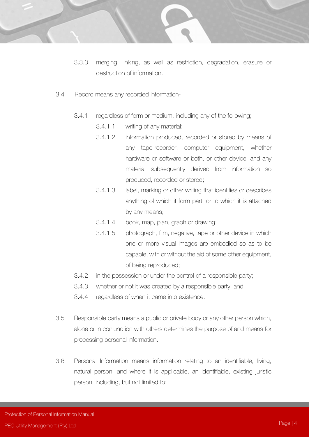- - 3.3.3 merging, linking, as well as restriction, degradation, erasure or destruction of information.
	- 3.4 Record means any recorded information-
		- 3.4.1 regardless of form or medium, including any of the following;
			- 3.4.1.1 writing of any material;
			- 3.4.1.2 information produced, recorded or stored by means of any tape-recorder, computer equipment, whether hardware or software or both, or other device, and any material subsequently derived from information so produced, recorded or stored;
			- 3.4.1.3 label, marking or other writing that identifies or describes anything of which it form part, or to which it is attached by any means;
			- 3.4.1.4 book, map, plan, graph or drawing;
			- 3.4.1.5 photograph, film, negative, tape or other device in which one or more visual images are embodied so as to be capable, with or without the aid of some other equipment, of being reproduced;
		- 3.4.2 in the possession or under the control of a responsible party;
		- 3.4.3 whether or not it was created by a responsible party; and
		- 3.4.4 regardless of when it came into existence.
	- 3.5 Responsible party means a public or private body or any other person which, alone or in conjunction with others determines the purpose of and means for processing personal information.
	- 3.6 Personal Information means information relating to an identifiable, living, natural person, and where it is applicable, an identifiable, existing juristic person, including, but not limited to: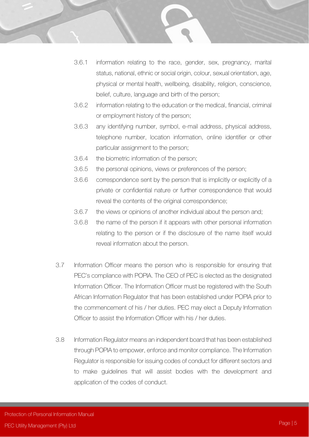- 3.6.1 information relating to the race, gender, sex, pregnancy, marital status, national, ethnic or social origin, colour, sexual orientation, age, physical or mental health, wellbeing, disability, religion, conscience, belief, culture, language and birth of the person;
- 3.6.2 information relating to the education or the medical, financial, criminal or employment history of the person;
- 3.6.3 any identifying number, symbol, e-mail address, physical address, telephone number, location information, online identifier or other particular assignment to the person;
- 3.6.4 the biometric information of the person;
- 3.6.5 the personal opinions, views or preferences of the person;
- 3.6.6 correspondence sent by the person that is implicitly or explicitly of a private or confidential nature or further correspondence that would reveal the contents of the original correspondence;
- 3.6.7 the views or opinions of another individual about the person and;
- 3.6.8 the name of the person if it appears with other personal information relating to the person or if the disclosure of the name itself would reveal information about the person.
- 3.7 Information Officer means the person who is responsible for ensuring that PEC's compliance with POPIA. The CEO of PEC is elected as the designated Information Officer. The Information Officer must be registered with the South African Information Regulator that has been established under POPIA prior to the commencement of his / her duties. PEC may elect a Deputy Information Officer to assist the Information Officer with his / her duties.
- 3.8 Information Regulator means an independent board that has been established through POPIA to empower, enforce and monitor compliance. The Information Regulator is responsible for issuing codes of conduct for different sectors and to make guidelines that will assist bodies with the development and application of the codes of conduct.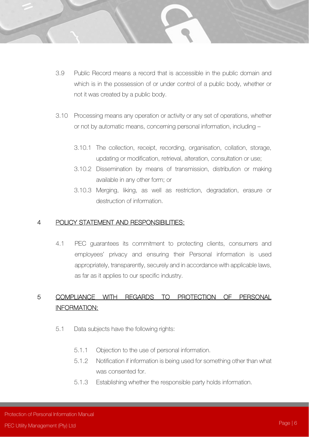- 3.9 Public Record means a record that is accessible in the public domain and which is in the possession of or under control of a public body, whether or not it was created by a public body.
- 3.10 Processing means any operation or activity or any set of operations, whether or not by automatic means, concerning personal information, including –
	- 3.10.1 The collection, receipt, recording, organisation, collation, storage, updating or modification, retrieval, alteration, consultation or use;
	- 3.10.2 Dissemination by means of transmission, distribution or making available in any other form; or
	- 3.10.3 Merging, liking, as well as restriction, degradation, erasure or destruction of information.

#### 4 POLICY STATEMENT AND RESPONSIBILITIES:

4.1 PEC guarantees its commitment to protecting clients, consumers and employees' privacy and ensuring their Personal information is used appropriately, transparently, securely and in accordance with applicable laws, as far as it applies to our specific industry.

# 5 COMPLIANCE WITH REGARDS TO PROTECTION OF PERSONAL INFORMATION:

- 5.1 Data subjects have the following rights:
	- 5.1.1 Objection to the use of personal information.
	- 5.1.2 Notification if information is being used for something other than what was consented for.
	- 5.1.3 Establishing whether the responsible party holds information.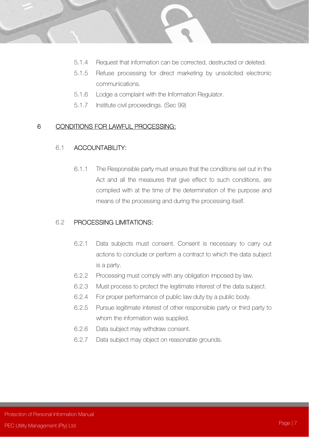- 5.1.4 Request that information can be corrected, destructed or deleted.
	- 5.1.5 Refuse processing for direct marketing by unsolicited electronic communications.
	- 5.1.6 Lodge a complaint with the Information Regulator.
	- 5.1.7 Institute civil proceedings. (Sec 99)

#### 6 CONDITIONS FOR LAWFUL PROCESSING:

#### 6.1 ACCOUNTABILITY:

6.1.1 The Responsible party must ensure that the conditions set out in the Act and all the measures that give effect to such conditions, are complied with at the time of the determination of the purpose and means of the processing and during the processing itself.

#### 6.2 PROCESSING LIMITATIONS:

- 6.2.1 Data subjects must consent. Consent is necessary to carry out actions to conclude or perform a contract to which the data subject is a party.
- 6.2.2 Processing must comply with any obligation imposed by law.
- 6.2.3 Must process to protect the legitimate interest of the data subject.
- 6.2.4 For proper performance of public law duty by a public body.
- 6.2.5 Pursue legitimate interest of other responsible party or third party to whom the information was supplied.
- 6.2.6 Data subject may withdraw consent.
- 6.2.7 Data subject may object on reasonable grounds.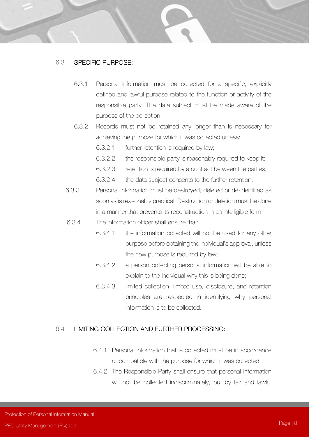#### 6.3 SPECIFIC PURPOSE:

- 6.3.1 Personal Information must be collected for a specific, explicitly defined and lawful purpose related to the function or activity of the responsible party. The data subject must be made aware of the purpose of the collection.
- 6.3.2 Records must not be retained any longer than is necessary for achieving the purpose for which it was collected unless:
	- 6.3.2.1 further retention is required by law;
	- 6.3.2.2 the responsible party is reasonably required to keep it;
	- 6.3.2.3 retention is required by a contract between the parties;
	- 6.3.2.4 the data subject consents to the further retention.
- 6.3.3 Personal Information must be destroyed, deleted or de-identified as soon as is reasonably practical. Destruction or deletion must be done in a manner that prevents its reconstruction in an intelligible form.
- 6.3.4 The information officer shall ensure that:
	- 6.3.4.1 the information collected will not be used for any other purpose before obtaining the individual's approval, unless the new purpose is required by law;
	- 6.3.4.2 a person collecting personal information will be able to explain to the individual why this is being done;
	- 6.3.4.3 limited collection, limited use, disclosure, and retention principles are respected in identifying why personal information is to be collected.

#### 6.4 LIMITING COLLECTION AND FURTHER PROCESSING:

- 6.4.1 Personal information that is collected must be in accordance or compatible with the purpose for which it was collected.
- 6.4.2 The Responsible Party shall ensure that personal information will not be collected indiscriminately, but by fair and lawful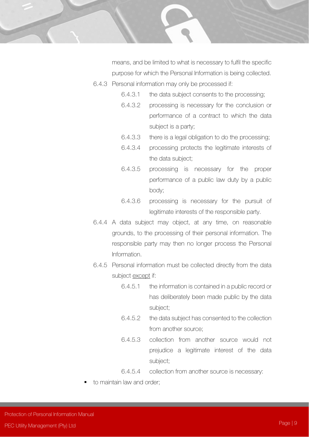

means, and be limited to what is necessary to fulfil the specific purpose for which the Personal Information is being collected.

- 6.4.3 Personal information may only be processed if:
	- 6.4.3.1 the data subject consents to the processing;
	- 6.4.3.2 processing is necessary for the conclusion or performance of a contract to which the data subject is a party;
	- 6.4.3.3 there is a legal obligation to do the processing;
	- 6.4.3.4 processing protects the legitimate interests of the data subject;
	- 6.4.3.5 processing is necessary for the proper performance of a public law duty by a public body;
	- 6.4.3.6 processing is necessary for the pursuit of legitimate interests of the responsible party.
- 6.4.4 A data subject may object, at any time, on reasonable grounds, to the processing of their personal information. The responsible party may then no longer process the Personal Information.
- 6.4.5 Personal information must be collected directly from the data subject except if:
	- 6.4.5.1 the information is contained in a public record or has deliberately been made public by the data subject;
	- 6.4.5.2 the data subject has consented to the collection from another source;
	- 6.4.5.3 collection from another source would not prejudice a legitimate interest of the data subject;
	- 6.4.5.4 collection from another source is necessary:
- to maintain law and order;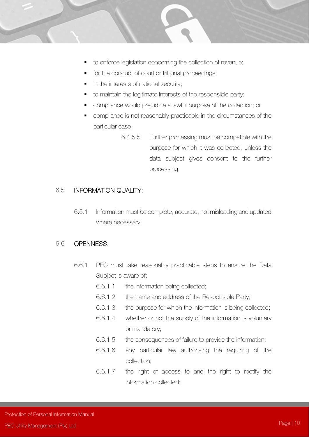- - to enforce legislation concerning the collection of revenue;
	- for the conduct of court or tribunal proceedings;
	- in the interests of national security;
	- to maintain the legitimate interests of the responsible party;
	- compliance would prejudice a lawful purpose of the collection; or
	- compliance is not reasonably practicable in the circumstances of the particular case.
		- 6.4.5.5 Further processing must be compatible with the purpose for which it was collected, unless the data subject gives consent to the further processing.

### 6.5 INFORMATION QUALITY:

6.5.1 Information must be complete, accurate, not misleading and updated where necessary.

#### 6.6 OPENNESS:

- 6.6.1 PEC must take reasonably practicable steps to ensure the Data Subject is aware of:
	- 6.6.1.1 the information being collected;
	- 6.6.1.2 the name and address of the Responsible Party;
	- 6.6.1.3 the purpose for which the information is being collected;
	- 6.6.1.4 whether or not the supply of the information is voluntary or mandatory;
	- 6.6.1.5 the consequences of failure to provide the information;
	- 6.6.1.6 any particular law authorising the requiring of the collection;
	- 6.6.1.7 the right of access to and the right to rectify the information collected;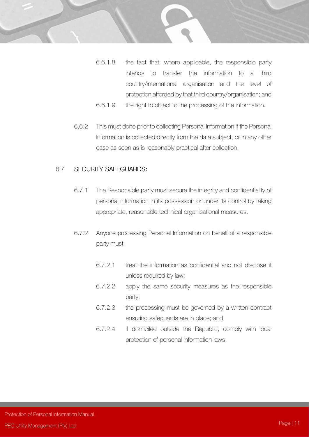

- 6.6.1.8 the fact that, where applicable, the responsible party intends to transfer the information to a third country/international organisation and the level of protection afforded by that third country/organisation; and
- 6.6.1.9 the right to object to the processing of the information.
- 6.6.2 This must done prior to collecting Personal Information if the Personal Information is collected directly from the data subject, or in any other case as soon as is reasonably practical after collection.

#### 6.7 SECURITY SAFEGUARDS:

- 6.7.1 The Responsible party must secure the integrity and confidentiality of personal information in its possession or under its control by taking appropriate, reasonable technical organisational measures.
- 6.7.2 Anyone processing Personal Information on behalf of a responsible party must:
	- 6.7.2.1 treat the information as confidential and not disclose it unless required by law;
	- 6.7.2.2 apply the same security measures as the responsible party;
	- 6.7.2.3 the processing must be governed by a written contract ensuring safeguards are in place; and
	- 6.7.2.4 if domiciled outside the Republic, comply with local protection of personal information laws.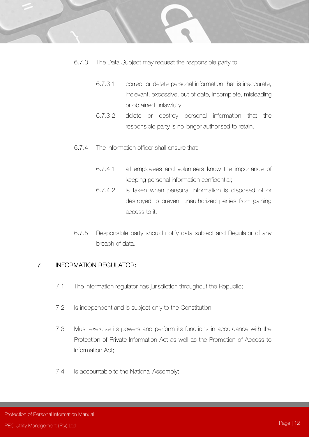- 6.7.3 The Data Subject may request the responsible party to:
	- 6.7.3.1 correct or delete personal information that is inaccurate, irrelevant, excessive, out of date, incomplete, misleading or obtained unlawfully;
	- 6.7.3.2 delete or destroy personal information that the responsible party is no longer authorised to retain.
- 6.7.4 The information officer shall ensure that:
	- 6.7.4.1 all employees and volunteers know the importance of keeping personal information confidential;
	- 6.7.4.2 is taken when personal information is disposed of or destroyed to prevent unauthorized parties from gaining access to it.
- 6.7.5 Responsible party should notify data subject and Regulator of any breach of data.

### 7 INFORMATION REGULATOR:

- 7.1 The information regulator has jurisdiction throughout the Republic;
- 7.2 Is independent and is subject only to the Constitution;
- 7.3 Must exercise its powers and perform its functions in accordance with the Protection of Private Information Act as well as the Promotion of Access to Information Act;
- 7.4 Is accountable to the National Assembly;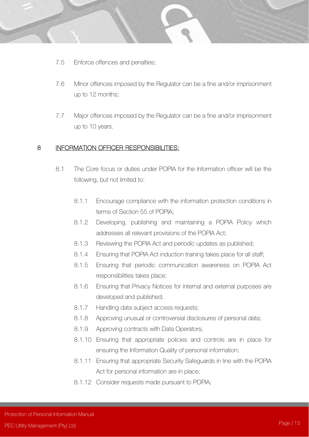- - 7.5 Enforce offences and penalties;
	- 7.6 Minor offences imposed by the Regulator can be a fine and/or imprisonment up to 12 months;
	- 7.7 Major offences imposed by the Regulator can be a fine and/or imprisonment up to 10 years.

#### 8 INFORMATION OFFICER RESPONSIBILITIES:

- 8.1 The Core focus or duties under POPIA for the Information officer will be the following, but not limited to:
	- 8.1.1 Encourage compliance with the information protection conditions in terms of Section 55 of POPIA;
	- 8.1.2 Developing, publishing and maintaining a POPIA Policy which addresses all relevant provisions of the POPIA Act;
	- 8.1.3 Reviewing the POPIA Act and periodic updates as published;
	- 8.1.4 Ensuring that POPIA Act induction training takes place for all staff;
	- 8.1.5 Ensuring that periodic communication awareness on POPIA Act responsibilities takes place;
	- 8.1.6 Ensuring that Privacy Notices for internal and external purposes are developed and published;
	- 8.1.7 Handling data subject access requests;
	- 8.1.8 Approving unusual or controversial disclosures of personal data;
	- 8.1.9 Approving contracts with Data Operators;
	- 8.1.10 Ensuring that appropriate policies and controls are in place for ensuring the Information Quality of personal information;
	- 8.1.11 Ensuring that appropriate Security Safeguards in line with the POPIA Act for personal information are in place;
	- 8.1.12 Consider requests made pursuant to POPIA;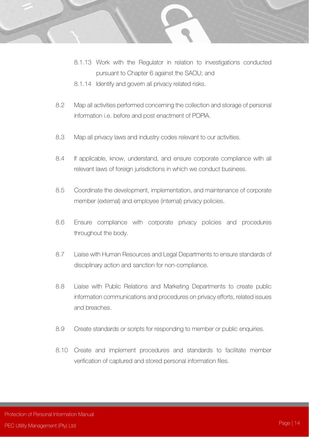- - 8.1.13 Work with the Regulator in relation to investigations conducted pursuant to Chapter 6 against the SAOU; and
	- 8.1.14 Identify and govern all privacy related risks.
	- 8.2 Map all activities performed concerning the collection and storage of personal information i.e. before and post enactment of POPIA.
	- 8.3 Map all privacy laws and industry codes relevant to our activities.
	- 8.4 If applicable, know, understand, and ensure corporate compliance with all relevant laws of foreign jurisdictions in which we conduct business.
	- 8.5 Coordinate the development, implementation, and maintenance of corporate member (external) and employee (internal) privacy policies.
	- 8.6 Ensure compliance with corporate privacy policies and procedures throughout the body.
	- 8.7 Liaise with Human Resources and Legal Departments to ensure standards of disciplinary action and sanction for non-compliance.
	- 8.8 Liaise with Public Relations and Marketing Departments to create public information communications and procedures on privacy efforts, related issues and breaches.
	- 8.9 Create standards or scripts for responding to member or public enquiries.
	- 8.10 Create and implement procedures and standards to facilitate member verification of captured and stored personal information files.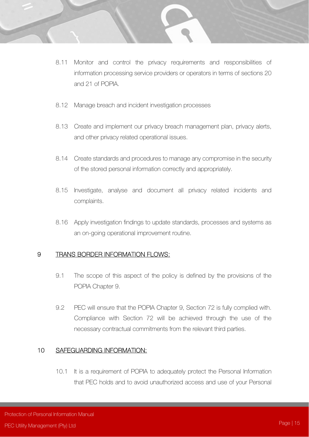- 8.11 Monitor and control the privacy requirements and responsibilities of information processing service providers or operators in terms of sections 20 and 21 of POPIA.
- 8.12 Manage breach and incident investigation processes
- 8.13 Create and implement our privacy breach management plan, privacy alerts, and other privacy related operational issues.
- 8.14 Create standards and procedures to manage any compromise in the security of the stored personal information correctly and appropriately.
- 8.15 Investigate, analyse and document all privacy related incidents and complaints.
- 8.16 Apply investigation findings to update standards, processes and systems as an on-going operational improvement routine.

#### 9 TRANS BORDER INFORMATION FLOWS:

- 9.1 The scope of this aspect of the policy is defined by the provisions of the POPIA Chapter 9.
- 9.2 PEC will ensure that the POPIA Chapter 9, Section 72 is fully complied with. Compliance with Section 72 will be achieved through the use of the necessary contractual commitments from the relevant third parties.

### 10 SAFEGUARDING INFORMATION:

10.1 It is a requirement of POPIA to adequately protect the Personal Information that PEC holds and to avoid unauthorized access and use of your Personal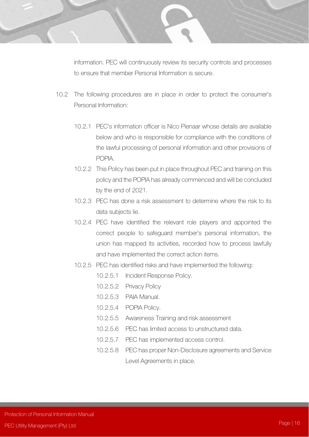information. PEC will continuously review its security controls and processes to ensure that member Personal Information is secure.

- 10.2 The following procedures are in place in order to protect the consumer's Personal Information:
	- 10.2.1 PEC's information officer is Nico Pienaar whose details are available below and who is responsible for compliance with the conditions of the lawful processing of personal information and other provisions of POPIA.
	- 10.2.2 This Policy has been put in place throughout PEC and training on this policy and the POPIA has already commenced and will be concluded by the end of 2021.
	- 10.2.3 PEC has done a risk assessment to determine where the risk to its data subjects lie.
	- 10.2.4 PEC have identified the relevant role players and appointed the correct people to safeguard member's personal information, the union has mapped its activities, recorded how to process lawfully and have implemented the correct action items.
	- 10.2.5 PEC has identified risks and have implemented the following:
		- 10.2.5.1 Incident Response Policy.
		- 10.2.5.2 Privacy Policy
		- 10.2.5.3 PAIA Manual.
		- 10.2.5.4 POPIA Policy.
		- 10.2.5.5 Awareness Training and risk assessment
		- 10.2.5.6 PEC has limited access to unstructured data.
		- 10.2.5.7 PEC has implemented access control.
		- 10.2.5.8 PEC has proper Non-Disclosure agreements and Service Level Agreements in place.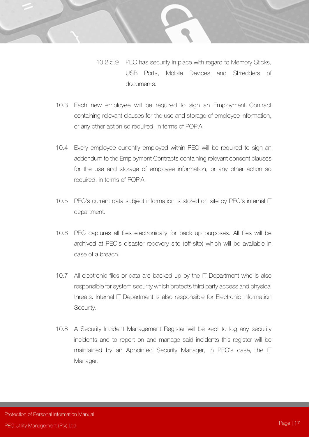- - 10.2.5.9 PEC has security in place with regard to Memory Sticks, USB Ports, Mobile Devices and Shredders of documents.
	- 10.3 Each new employee will be required to sign an Employment Contract containing relevant clauses for the use and storage of employee information, or any other action so required, in terms of POPIA.
	- 10.4 Every employee currently employed within PEC will be required to sign an addendum to the Employment Contracts containing relevant consent clauses for the use and storage of employee information, or any other action so required, in terms of POPIA.
	- 10.5 PEC's current data subject information is stored on site by PEC's internal IT department.
	- 10.6 PEC captures all files electronically for back up purposes. All files will be archived at PEC's disaster recovery site (off-site) which will be available in case of a breach.
	- 10.7 All electronic files or data are backed up by the IT Department who is also responsible for system security which protects third party access and physical threats. Internal IT Department is also responsible for Electronic Information Security.
	- 10.8 A Security Incident Management Register will be kept to log any security incidents and to report on and manage said incidents this register will be maintained by an Appointed Security Manager, in PEC's case, the IT Manager.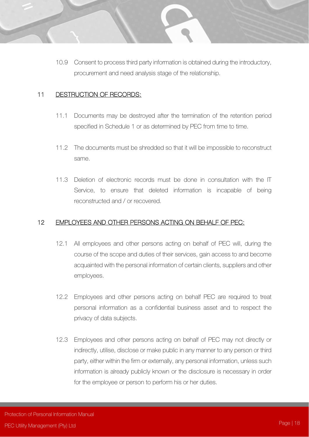10.9 Consent to process third party information is obtained during the introductory, procurement and need analysis stage of the relationship.

#### 11 DESTRUCTION OF RECORDS:

- 11.1 Documents may be destroyed after the termination of the retention period specified in Schedule 1 or as determined by PEC from time to time.
- 11.2 The documents must be shredded so that it will be impossible to reconstruct same.
- 11.3 Deletion of electronic records must be done in consultation with the IT Service, to ensure that deleted information is incapable of being reconstructed and / or recovered.

#### 12 EMPLOYEES AND OTHER PERSONS ACTING ON BEHALF OF PEC:

- 12.1 All employees and other persons acting on behalf of PEC will, during the course of the scope and duties of their services, gain access to and become acquainted with the personal information of certain clients, suppliers and other employees.
- 12.2 Employees and other persons acting on behalf PEC are required to treat personal information as a confidential business asset and to respect the privacy of data subjects.
- 12.3 Employees and other persons acting on behalf of PEC may not directly or indirectly, utilise, disclose or make public in any manner to any person or third party, either within the firm or externally, any personal information, unless such information is already publicly known or the disclosure is necessary in order for the employee or person to perform his or her duties.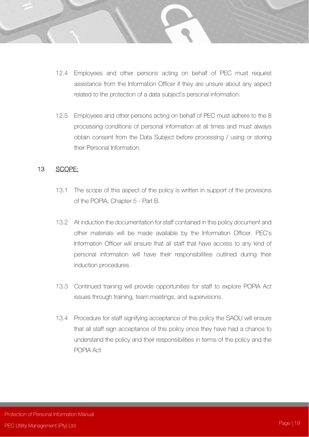- 12.4 Employees and other persons acting on behalf of PEC must request assistance from the Information Officer if they are unsure about any aspect related to the protection of a data subject's personal information.
- 12.5 Employees and other persons acting on behalf of PEC must adhere to the 8 processing conditions of personal information at all times and must always obtain consent from the Data Subject before processing / using or storing their Personal Information.

#### 13 SCOPE:

- 13.1 The scope of this aspect of the policy is written in support of the provisions of the POPIA, Chapter 5 - Part B.
- 13.2 At induction the documentation for staff contained in this policy document and other materials will be made available by the Information Officer. PEC's Information Officer will ensure that all staff that have access to any kind of personal information will have their responsibilities outlined during their induction procedures.
- 13.3 Continued training will provide opportunities for staff to explore POPIA Act issues through training, team meetings, and supervisions.
- 13.4 Procedure for staff signifying acceptance of this policy the SAOU will ensure that all staff sign acceptance of this policy once they have had a chance to understand the policy and their responsibilities in terms of the policy and the POPIA Act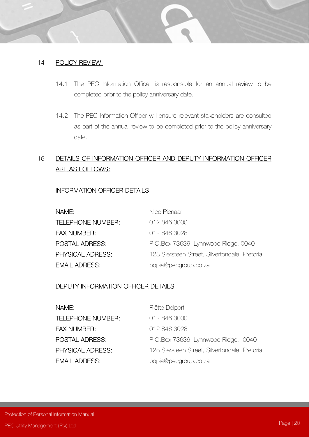#### 14 POLICY REVIEW:

- 14.1 The PEC Information Officer is responsible for an annual review to be completed prior to the policy anniversary date.
- 14.2 The PEC Information Officer will ensure relevant stakeholders are consulted as part of the annual review to be completed prior to the policy anniversary date.

# 15 DETAILS OF INFORMATION OFFICER AND DEPUTY INFORMATION OFFICER ARE AS FOLLOWS:

### INFORMATION OFFICER DETAILS

| NAME:                    | Nico Pienaar                                  |
|--------------------------|-----------------------------------------------|
| <b>TELEPHONE NUMBER:</b> | 012 846 3000                                  |
| <b>FAX NUMBER:</b>       | 012 846 3028                                  |
| POSTAL ADRESS:           | P.O.Box 73639, Lynnwood Ridge, 0040           |
| PHYSICAL ADRESS:         | 128 Siersteen Street, Silvertondale, Pretoria |
| <b>EMAIL ADRESS:</b>     | popia@pecgroup.co.za                          |

### DEPUTY INFORMATION OFFICER DETAILS

| NAME:                 | Riëtte Delport                                |
|-----------------------|-----------------------------------------------|
| TELEPHONE NUMBER:     | 012 846 3000                                  |
| <b>FAX NUMBER:</b>    | 012 846 3028                                  |
| <b>POSTAL ADRESS:</b> | P.O.Box 73639, Lynnwood Ridge, 0040           |
| PHYSICAL ADRESS:      | 128 Siersteen Street, Silvertondale, Pretoria |
| <b>EMAIL ADRESS:</b>  | popia@pecgroup.co.za                          |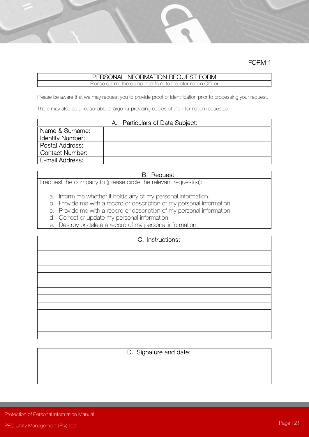FORM 1

## PERSONAL INFORMATION REQUEST FORM

Please submit the completed form to the Information Officer

Please be aware that we may request you to provide proof of identification prior to processing your request.

There may also be a reasonable charge for providing copies of the information requested.

| Particulars of Data Subject: |  |  |
|------------------------------|--|--|
| Name & Surname:              |  |  |
| Identity Number:             |  |  |
| Postal Address:              |  |  |
| <b>Contact Number:</b>       |  |  |
| E-mail Address:              |  |  |

#### B. Request:

I request the company to (please circle the relevant request(s)):

- a. Inform me whether it holds any of my personal information.
- b. Provide me with a record or description of my personal information.
- c. Provide me with a record or description of my personal information.
- d. Correct or update my personal information.
- e. Destroy or delete a record of my personal information.

#### C. Instructions:

D. Signature and date: